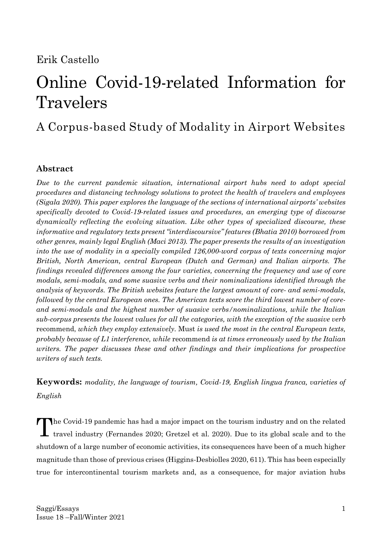# Erik Castello

# Online Covid-19-related Information for Travelers

# A Corpus-based Study of Modality in Airport Websites

# **Abstract**

*Due to the current pandemic situation, international airport hubs need to adopt special procedures and distancing technology solutions to protect the health of travelers and employees (Sigala 2020). This paper explores the language of the sections of international airports' websites specifically devoted to Covid-19-related issues and procedures, an emerging type of discourse dynamically reflecting the evolving situation. Like other types of specialized discourse, these informative and regulatory texts present "interdiscoursive" features (Bhatia 2010) borrowed from other genres, mainly legal English (Maci 2013). The paper presents the results of an investigation into the use of modality in a specially compiled 126,000-word corpus of texts concerning major British, North American, central European (Dutch and German) and Italian airports. The findings revealed differences among the four varieties, concerning the frequency and use of core modals, semi-modals, and some suasive verbs and their nominalizations identified through the analysis of keywords. The British websites feature the largest amount of core- and semi-modals, followed by the central European ones. The American texts score the third lowest number of coreand semi-modals and the highest number of suasive verbs/nominalizations, while the Italian sub-corpus presents the lowest values for all the categories, with the exception of the suasive verb*  recommend, *which they employ extensively.* Must *is used the most in the central European texts, probably because of L1 interference, while* recommend *is at times erroneously used by the Italian writers. The paper discusses these and other findings and their implications for prospective writers of such texts.*

**Keywords:** *modality, the language of tourism, Covid-19, English lingua franca, varieties of English*

The Covid-19 pandemic has had a major impact on the tourism industry and on the related travel industry (Fernandes 2020; Gretzel et al. 2020). Due to its global scale and to the travel industry (Fernandes 2020; Gretzel et al. 2020). Due to its global scale and to the shutdown of a large number of economic activities, its consequences have been of a much higher magnitude than those of previous crises (Higgins-Desbiolles 2020, 611). This has been especially true for intercontinental tourism markets and, as a consequence, for major aviation hubs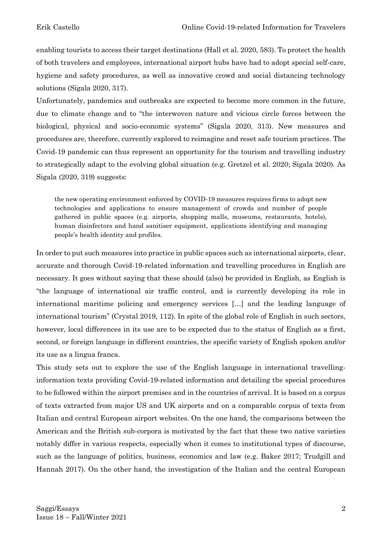enabling tourists to access their target destinations (Hall et al. 2020, 583). To protect the health of both travelers and employees, international airport hubs have had to adopt special self-care, hygiene and safety procedures, as well as innovative crowd and social distancing technology solutions (Sigala 2020, 317).

Unfortunately, pandemics and outbreaks are expected to become more common in the future, due to climate change and to "the interwoven nature and vicious circle forces between the biological, physical and socio-economic systems" (Sigala 2020, 313). New measures and procedures are, therefore, currently explored to reimagine and reset safe tourism practices. The Covid-19 pandemic can thus represent an opportunity for the tourism and travelling industry to strategically adapt to the evolving global situation (e.g. Gretzel et al. 2020; Sigala 2020). As Sigala (2020, 319) suggests:

the new operating environment enforced by COVID-19 measures requires firms to adopt new technologies and applications to ensure management of crowds and number of people gathered in public spaces (e.g. airports, shopping malls, museums, restaurants, hotels), human disinfectors and hand sanitiser equipment, applications identifying and managing people's health identity and profiles.

In order to put such measures into practice in public spaces such as international airports, clear, accurate and thorough Covid-19-related information and travelling procedures in English are necessary. It goes without saying that these should (also) be provided in English, as English is "the language of international air traffic control, and is currently developing its role in international maritime policing and emergency services […] and the leading language of international tourism" (Crystal 2019, 112). In spite of the global role of English in such sectors, however, local differences in its use are to be expected due to the status of English as a first, second, or foreign language in different countries, the specific variety of English spoken and/or its use as a lingua franca.

This study sets out to explore the use of the English language in international travellinginformation texts providing Covid-19-related information and detailing the special procedures to be followed within the airport premises and in the countries of arrival. It is based on a corpus of texts extracted from major US and UK airports and on a comparable corpus of texts from Italian and central European airport websites. On the one hand, the comparisons between the American and the British sub-corpora is motivated by the fact that these two native varieties notably differ in various respects, especially when it comes to institutional types of discourse, such as the language of politics, business, economics and law (e.g. Baker 2017; Trudgill and Hannah 2017). On the other hand, the investigation of the Italian and the central European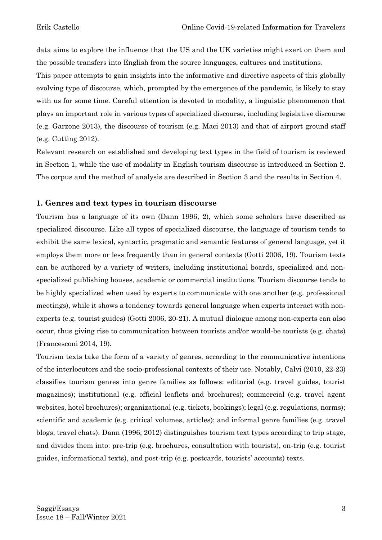data aims to explore the influence that the US and the UK varieties might exert on them and the possible transfers into English from the source languages, cultures and institutions.

This paper attempts to gain insights into the informative and directive aspects of this globally evolving type of discourse, which, prompted by the emergence of the pandemic, is likely to stay with us for some time. Careful attention is devoted to modality, a linguistic phenomenon that plays an important role in various types of specialized discourse, including legislative discourse (e.g. Garzone 2013), the discourse of tourism (e.g. Maci 2013) and that of airport ground staff (e.g. Cutting 2012).

Relevant research on established and developing text types in the field of tourism is reviewed in Section 1, while the use of modality in English tourism discourse is introduced in Section 2. The corpus and the method of analysis are described in Section 3 and the results in Section 4.

#### **1. Genres and text types in tourism discourse**

Tourism has a language of its own (Dann 1996, 2), which some scholars have described as specialized discourse. Like all types of specialized discourse, the language of tourism tends to exhibit the same lexical, syntactic, pragmatic and semantic features of general language, yet it employs them more or less frequently than in general contexts (Gotti 2006, 19). Tourism texts can be authored by a variety of writers, including institutional boards, specialized and nonspecialized publishing houses, academic or commercial institutions. Tourism discourse tends to be highly specialized when used by experts to communicate with one another (e.g. professional meetings), while it shows a tendency towards general language when experts interact with nonexperts (e.g. tourist guides) (Gotti 2006, 20-21). A mutual dialogue among non-experts can also occur, thus giving rise to communication between tourists and/or would-be tourists (e.g. chats) (Francesconi 2014, 19).

Tourism texts take the form of a variety of genres, according to the communicative intentions of the interlocutors and the socio-professional contexts of their use. Notably, Calvi (2010, 22-23) classifies tourism genres into genre families as follows: editorial (e.g. travel guides, tourist magazines); institutional (e.g. official leaflets and brochures); commercial (e.g. travel agent websites, hotel brochures); organizational (e.g. tickets, bookings); legal (e.g. regulations, norms); scientific and academic (e.g. critical volumes, articles); and informal genre families (e.g. travel blogs, travel chats). Dann (1996; 2012) distinguishes tourism text types according to trip stage, and divides them into: pre-trip (e.g. brochures, consultation with tourists), on-trip (e.g. tourist guides, informational texts), and post-trip (e.g. postcards, tourists' accounts) texts.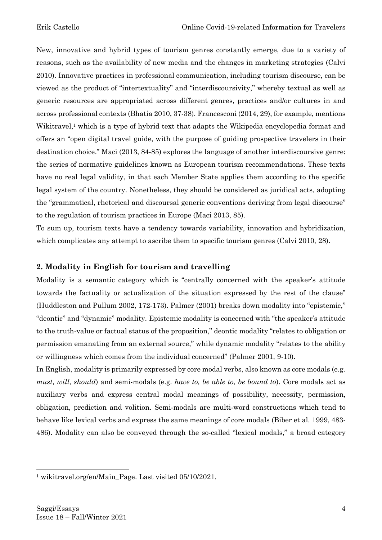New, innovative and hybrid types of tourism genres constantly emerge, due to a variety of reasons, such as the availability of new media and the changes in marketing strategies (Calvi 2010). Innovative practices in professional communication, including tourism discourse, can be viewed as the product of "intertextuality" and "interdiscoursivity," whereby textual as well as generic resources are appropriated across different genres, practices and/or cultures in and across professional contexts (Bhatia 2010, 37-38). Francesconi (2014, 29), for example, mentions Wikitravel,<sup>1</sup> which is a type of hybrid text that adapts the Wikipedia encyclopedia format and offers an "open digital travel guide, with the purpose of guiding prospective travelers in their destination choice." Maci (2013, 84-85) explores the language of another interdiscoursive genre: the series of normative guidelines known as European tourism recommendations. These texts have no real legal validity, in that each Member State applies them according to the specific legal system of the country. Nonetheless, they should be considered as juridical acts, adopting the "grammatical, rhetorical and discoursal generic conventions deriving from legal discourse" to the regulation of tourism practices in Europe (Maci 2013, 85).

To sum up, tourism texts have a tendency towards variability, innovation and hybridization, which complicates any attempt to ascribe them to specific tourism genres (Calvi 2010, 28).

# **2. Modality in English for tourism and travelling**

Modality is a semantic category which is "centrally concerned with the speaker's attitude towards the factuality or actualization of the situation expressed by the rest of the clause" (Huddleston and Pullum 2002, 172-173). Palmer (2001) breaks down modality into "epistemic," "deontic" and "dynamic" modality. Epistemic modality is concerned with "the speaker's attitude to the truth-value or factual status of the proposition," deontic modality "relates to obligation or permission emanating from an external source," while dynamic modality "relates to the ability or willingness which comes from the individual concerned" (Palmer 2001, 9-10).

In English, modality is primarily expressed by core modal verbs, also known as core modals (e.g. *must, will, should*) and semi-modals (e.g. *have to, be able to, be bound to*). Core modals act as auxiliary verbs and express central modal meanings of possibility, necessity, permission, obligation, prediction and volition. Semi-modals are multi-word constructions which tend to behave like lexical verbs and express the same meanings of core modals (Biber et al. 1999, 483- 486). Modality can also be conveyed through the so-called "lexical modals," a broad category

<sup>1</sup> wikitravel.org/en/Main\_Page. Last visited 05/10/2021.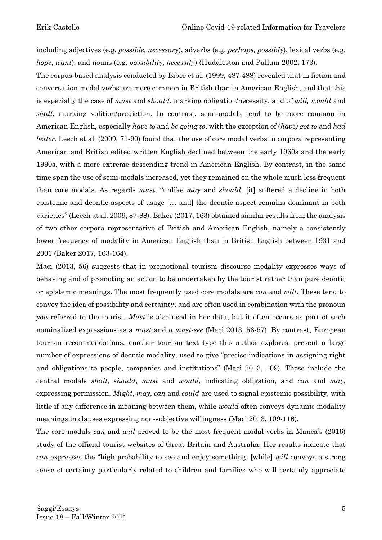including adjectives (e.g. *possible, necessary*), adverbs (e.g. *perhaps, possibly*), lexical verbs (e.g. *hope, want*), and nouns (e.g. *possibility, necessity*) (Huddleston and Pullum 2002, 173).

The corpus-based analysis conducted by Biber et al. (1999, 487-488) revealed that in fiction and conversation modal verbs are more common in British than in American English, and that this is especially the case of *must* and *should*, marking obligation/necessity, and of *will, would* and *shall*, marking volition/prediction. In contrast, semi-modals tend to be more common in American English, especially *have to* and *be going to*, with the exception of (*have) got to* and *had better.* Leech et al. (2009, 71-90) found that the use of core modal verbs in corpora representing American and British edited written English declined between the early 1960s and the early 1990s, with a more extreme descending trend in American English. By contrast, in the same time span the use of semi-modals increased, yet they remained on the whole much less frequent than core modals. As regards *must*, "unlike *may* and *should*, [it] suffered a decline in both epistemic and deontic aspects of usage [… and] the deontic aspect remains dominant in both varieties" (Leech at al. 2009, 87-88). Baker (2017, 163) obtained similar results from the analysis of two other corpora representative of British and American English, namely a consistently lower frequency of modality in American English than in British English between 1931 and 2001 (Baker 2017, 163-164).

Maci (2013, 56) suggests that in promotional tourism discourse modality expresses ways of behaving and of promoting an action to be undertaken by the tourist rather than pure deontic or epistemic meanings. The most frequently used core modals are *can* and *will*. These tend to convey the idea of possibility and certainty, and are often used in combination with the pronoun *you* referred to the tourist. *Must* is also used in her data, but it often occurs as part of such nominalized expressions as a *must* and *a must-see* (Maci 2013, 56-57). By contrast, European tourism recommendations, another tourism text type this author explores, present a large number of expressions of deontic modality, used to give "precise indications in assigning right and obligations to people, companies and institutions" (Maci 2013, 109). These include the central modals *shall*, *should*, *must* and *would*, indicating obligation, and *can* and *may*, expressing permission. *Might*, *may*, *can* and *could* are used to signal epistemic possibility, with little if any difference in meaning between them, while *would* often conveys dynamic modality meanings in clauses expressing non-subjective willingness (Maci 2013, 109-116).

The core modals *can* and *will* proved to be the most frequent modal verbs in Manca's (2016) study of the official tourist websites of Great Britain and Australia. Her results indicate that *can* expresses the "high probability to see and enjoy something, [while] *will* conveys a strong sense of certainty particularly related to children and families who will certainly appreciate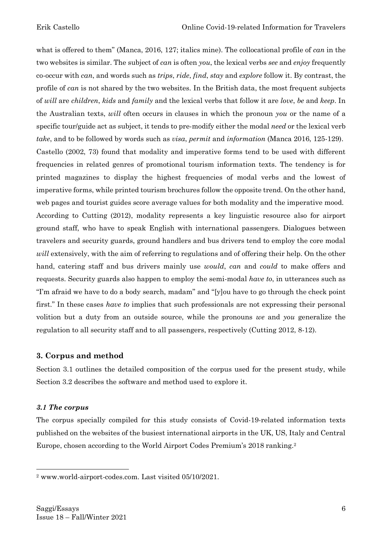what is offered to them" (Manca, 2016, 127; italics mine). The collocational profile of *can* in the two websites is similar. The subject of *can* is often *you*, the lexical verbs *see* and *enjoy* frequently co-occur with *can*, and words such as *trips*, *ride*, *find*, *stay* and *explore* follow it. By contrast, the profile of *can* is not shared by the two websites. In the British data, the most frequent subjects of *will* are *children*, *kids* and *family* and the lexical verbs that follow it are *love*, *be* and *keep*. In the Australian texts, *will* often occurs in clauses in which the pronoun *you* or the name of a specific tour/guide act as subject, it tends to pre-modify either the modal *need* or the lexical verb *take*, and to be followed by words such as *visa*, *permit* and *information* (Manca 2016, 125-129). Castello (2002, 73) found that modality and imperative forms tend to be used with different frequencies in related genres of promotional tourism information texts. The tendency is for printed magazines to display the highest frequencies of modal verbs and the lowest of imperative forms, while printed tourism brochures follow the opposite trend. On the other hand, web pages and tourist guides score average values for both modality and the imperative mood. According to Cutting (2012), modality represents a key linguistic resource also for airport ground staff, who have to speak English with international passengers. Dialogues between travelers and security guards, ground handlers and bus drivers tend to employ the core modal *will* extensively, with the aim of referring to regulations and of offering their help. On the other hand, catering staff and bus drivers mainly use *would*, *can* and *could* to make offers and requests. Security guards also happen to employ the semi-modal *have to*, in utterances such as "I'm afraid we have to do a body search, madam'' and ''[y]ou have to go through the check point first." In these cases *have to* implies that such professionals are not expressing their personal volition but a duty from an outside source, while the pronouns *we* and *you* generalize the regulation to all security staff and to all passengers, respectively (Cutting 2012, 8-12).

#### **3. Corpus and method**

Section 3.1 outlines the detailed composition of the corpus used for the present study, while Section 3.2 describes the software and method used to explore it.

#### *3.1 The corpus*

The corpus specially compiled for this study consists of Covid-19-related information texts published on the websites of the busiest international airports in the UK, US, Italy and Central Europe, chosen according to the World Airport Codes Premium's 2018 ranking. 2

<sup>2</sup> www.world-airport-codes.com. Last visited 05/10/2021.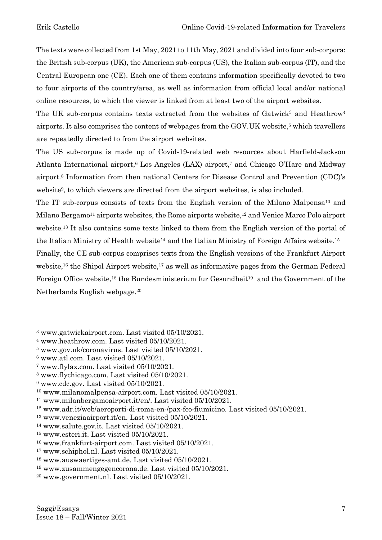The texts were collected from 1st May, 2021 to 11th May, 2021 and divided into four sub-corpora: the British sub-corpus (UK), the American sub-corpus (US), the Italian sub-corpus (IT), and the Central European one (CE). Each one of them contains information specifically devoted to two to four airports of the country/area, as well as information from official local and/or national online resources, to which the viewer is linked from at least two of the airport websites.

The UK sub-corpus contains texts extracted from the websites of Gatwick<sup>3</sup> and Heathrow<sup>4</sup> airports. It also comprises the content of webpages from the GOV.UK website,<sup>5</sup> which travellers are repeatedly directed to from the airport websites.

The US sub-corpus is made up of Covid-19-related web resources about Harfield-Jackson Atlanta International airport, $6$  Los Angeles (LAX) airport, $7$  and Chicago O'Hare and Midway airport.<sup>8</sup> Information from then national Centers for Disease Control and Prevention (CDC)'s website<sup>9</sup>, to which viewers are directed from the airport websites, is also included.

The IT sub-corpus consists of texts from the English version of the Milano Malpensa<sup>10</sup> and Milano Bergamo<sup>11</sup> airports websites, the Rome airports website,<sup>12</sup> and Venice Marco Polo airport website. <sup>13</sup> It also contains some texts linked to them from the English version of the portal of the Italian Ministry of Health website<sup>14</sup> and the Italian Ministry of Foreign Affairs website.<sup>15</sup>

Finally, the CE sub-corpus comprises texts from the English versions of the Frankfurt Airport website,<sup>16</sup> the Shipol Airport website,<sup>17</sup> as well as informative pages from the German Federal Foreign Office website,<sup>18</sup> the Bundesministerium fur Gesundheit<sup>19</sup> and the Government of the Netherlands English webpage.<sup>20</sup>

<sup>3</sup> www.gatwickairport.com. Last visited 05/10/2021.

<sup>4</sup> www.heathrow.com. Last visited 05/10/2021.

<sup>5</sup> www.gov.uk/coronavirus. Last visited 05/10/2021.

 $6$  www.atl.com. Last visited  $05/10/2021$ .

<sup>7</sup> www.flylax.com. Last visited 05/10/2021.

<sup>8</sup> www.flychicago.com. Last visited 05/10/2021.

<sup>9</sup> www.cdc.gov. Last visited 05/10/2021.

<sup>10</sup> www.milanomalpensa-airport.com. Last visited 05/10/2021.

<sup>11</sup> www.milanbergamoairport.it/en/. Last visited 05/10/2021.

<sup>12</sup> www.adr.it/web/aeroporti-di-roma-en-/pax-fco-fiumicino. Last visited 05/10/2021.

<sup>13</sup> www.veneziaairport.it/en. Last visited 05/10/2021.

<sup>14</sup> www.salute.gov.it. Last visited 05/10/2021.

<sup>15</sup> www.esteri.it. Last visited 05/10/2021.

<sup>16</sup> www.frankfurt-airport.com. Last visited 05/10/2021.

<sup>17</sup> www.schiphol.nl. Last visited 05/10/2021.

<sup>18</sup> www.auswaertiges-amt.de. Last visited 05/10/2021.

<sup>19</sup> www.zusammengegencorona.de. Last visited 05/10/2021.

<sup>20</sup> www.government.nl. Last visited 05/10/2021.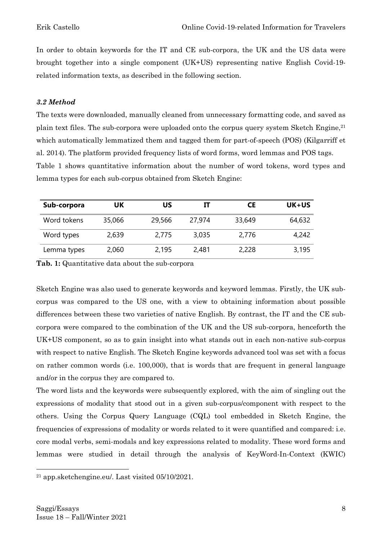In order to obtain keywords for the IT and CE sub-corpora, the UK and the US data were brought together into a single component (UK+US) representing native English Covid-19 related information texts, as described in the following section.

## *3.2 Method*

The texts were downloaded, manually cleaned from unnecessary formatting code, and saved as plain text files. The sub-corpora were uploaded onto the corpus query system Sketch Engine,<sup>21</sup> which automatically lemmatized them and tagged them for part-of-speech (POS) (Kilgarriff et al. 2014). The platform provided frequency lists of word forms, word lemmas and POS tags. Table 1 shows quantitative information about the number of word tokens, word types and lemma types for each sub-corpus obtained from Sketch Engine:

| Sub-corpora | UΚ     | บร     | П      | СE     | UK+US  |
|-------------|--------|--------|--------|--------|--------|
| Word tokens | 35,066 | 29,566 | 27,974 | 33,649 | 64,632 |
| Word types  | 2,639  | 2,775  | 3,035  | 2,776  | 4,242  |
| Lemma types | 2,060  | 2,195  | 2,481  | 2,228  | 3,195  |

**Tab. 1:** Quantitative data about the sub-corpora

Sketch Engine was also used to generate keywords and keyword lemmas. Firstly, the UK subcorpus was compared to the US one, with a view to obtaining information about possible differences between these two varieties of native English. By contrast, the IT and the CE subcorpora were compared to the combination of the UK and the US sub-corpora, henceforth the UK+US component, so as to gain insight into what stands out in each non-native sub-corpus with respect to native English. The Sketch Engine keywords advanced tool was set with a focus on rather common words (i.e. 100,000), that is words that are frequent in general language and/or in the corpus they are compared to.

The word lists and the keywords were subsequently explored, with the aim of singling out the expressions of modality that stood out in a given sub-corpus/component with respect to the others. Using the Corpus Query Language (CQL) tool embedded in Sketch Engine, the frequencies of expressions of modality or words related to it were quantified and compared: i.e. core modal verbs, semi-modals and key expressions related to modality. These word forms and lemmas were studied in detail through the analysis of KeyWord-In-Context (KWIC)

<sup>21</sup> app.sketchengine.eu/. Last visited 05/10/2021.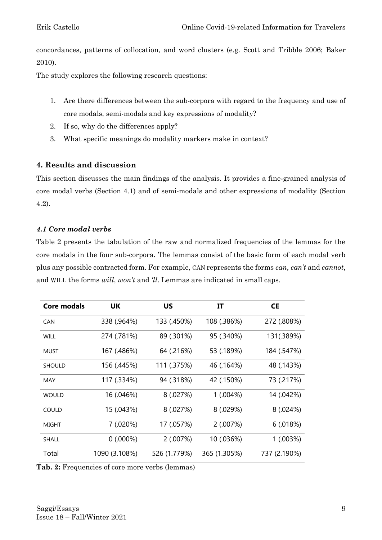concordances, patterns of collocation, and word clusters (e.g. Scott and Tribble 2006; Baker 2010).

The study explores the following research questions:

- 1. Are there differences between the sub-corpora with regard to the frequency and use of core modals, semi-modals and key expressions of modality?
- 2. If so, why do the differences apply?
- 3. What specific meanings do modality markers make in context?

# **4. Results and discussion**

This section discusses the main findings of the analysis. It provides a fine-grained analysis of core modal verbs (Section 4.1) and of semi-modals and other expressions of modality (Section 4.2).

### *4.1 Core modal verbs*

Table 2 presents the tabulation of the raw and normalized frequencies of the lemmas for the core modals in the four sub-corpora. The lemmas consist of the basic form of each modal verb plus any possible contracted form. For example, CAN represents the forms *can*, *can't* and *cannot*, and WILL the forms *will*, *won't* and *'ll*. Lemmas are indicated in small caps.

| <b>Core modals</b> | UK            | US           | IT           | <b>CE</b>    |
|--------------------|---------------|--------------|--------------|--------------|
| <b>CAN</b>         | 338 (.964%)   | 133 (.450%)  | 108 (.386%)  | 272 (.808%)  |
| <b>WILL</b>        | 274 (.781%)   | 89 (.301%)   | 95 (.340%)   | 131(.389%)   |
| <b>MUST</b>        | 167 (.486%)   | 64 (.216%)   | 53 (.189%)   | 184 (.547%)  |
| <b>SHOULD</b>      | 156 (.445%)   | 111 (.375%)  | 46 (.164%)   | 48 (.143%)   |
| <b>MAY</b>         | 117 (.334%)   | 94 (.318%)   | 42 (.150%)   | 73 (.217%)   |
| <b>WOULD</b>       | 16 (.046%)    | 8(.027%)     | 1 (.004%)    | 14 (.042%)   |
| COULD              | 15 (.043%)    | 8(.027%)     | 8(.029%)     | 8(.024%)     |
| MIGHT              | 7 (.020%)     | 17 (.057%)   | 2 (.007%)    | 6(.018%)     |
| <b>SHALL</b>       | 0(.000%)      | 2(.007%)     | 10 (.036%)   | 1 (.003%)    |
| Total              | 1090 (3.108%) | 526 (1.779%) | 365 (1.305%) | 737 (2.190%) |

**Tab. 2:** Frequencies of core more verbs (lemmas)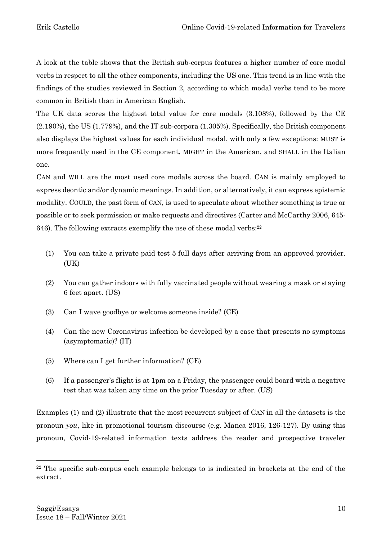A look at the table shows that the British sub-corpus features a higher number of core modal verbs in respect to all the other components, including the US one. This trend is in line with the findings of the studies reviewed in Section 2, according to which modal verbs tend to be more common in British than in American English.

The UK data scores the highest total value for core modals (3.108%), followed by the CE (2.190%), the US (1.779%), and the IT sub-corpora (1.305%). Specifically, the British component also displays the highest values for each individual modal, with only a few exceptions: MUST is more frequently used in the CE component, MIGHT in the American, and SHALL in the Italian one.

CAN and WILL are the most used core modals across the board. CAN is mainly employed to express deontic and/or dynamic meanings. In addition, or alternatively, it can express epistemic modality. COULD, the past form of CAN, is used to speculate about whether something is true or possible or to seek permission or make requests and directives (Carter and McCarthy 2006, 645- 646). The following extracts exemplify the use of these modal verbs: 22

- (1) You can take a private paid test 5 full days after arriving from an approved provider. (UK)
- (2) You can gather indoors with fully vaccinated people without wearing a mask or staying 6 feet apart. (US)
- (3) Can I wave goodbye or welcome someone inside? (CE)
- (4) Can the new Coronavirus infection be developed by a case that presents no symptoms (asymptomatic)? (IT)
- (5) Where can I get further information? (CE)
- (6) If a passenger's flight is at 1pm on a Friday, the passenger could board with a negative test that was taken any time on the prior Tuesday or after. (US)

Examples (1) and (2) illustrate that the most recurrent subject of CAN in all the datasets is the pronoun *you*, like in promotional tourism discourse (e.g. Manca 2016, 126-127)*.* By using this pronoun, Covid-19-related information texts address the reader and prospective traveler

 $22$  The specific sub-corpus each example belongs to is indicated in brackets at the end of the extract.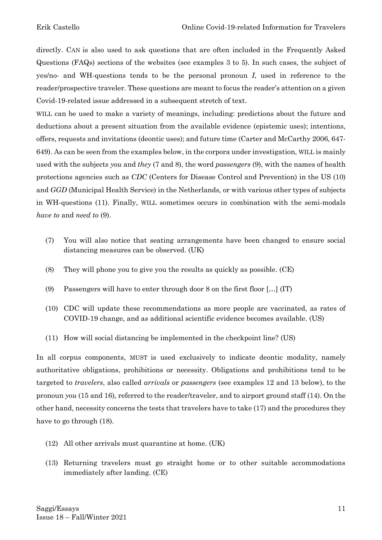directly. CAN is also used to ask questions that are often included in the Frequently Asked Questions (FAQs) sections of the websites (see examples 3 to 5). In such cases, the subject of yes/no- and WH-questions tends to be the personal pronoun *I*, used in reference to the reader/prospective traveler. These questions are meant to focus the reader's attention on a given Covid-19-related issue addressed in a subsequent stretch of text.

WILL can be used to make a variety of meanings, including: predictions about the future and deductions about a present situation from the available evidence (epistemic uses); intentions, offers, requests and invitations (deontic uses); and future time (Carter and McCarthy 2006, 647- 649). As can be seen from the examples below, in the corpora under investigation, WILL is mainly used with the subjects *you* and *they* (7 and 8), the word *passengers* (9), with the names of health protections agencies such as *CDC* (Centers for Disease Control and Prevention) in the US (10) and *GGD* (Municipal Health Service) in the Netherlands*,* or with various other types of subjects in WH-questions (11)*.* Finally, WILL sometimes occurs in combination with the semi-modals *have to* and *need to* (9).

- (7) You will also notice that seating arrangements have been changed to ensure social distancing measures can be observed. (UK)
- (8) They will phone you to give you the results as quickly as possible. (CE)
- (9) Passengers will have to enter through door 8 on the first floor […] (IT)
- (10) CDC will update these recommendations as more people are vaccinated, as rates of COVID-19 change, and as additional scientific evidence becomes available. (US)
- (11) How will social distancing be implemented in the checkpoint line? (US)

In all corpus components, MUST is used exclusively to indicate deontic modality, namely authoritative obligations, prohibitions or necessity. Obligations and prohibitions tend to be targeted to *travelers*, also called *arrivals* or *passengers* (see examples 12 and 13 below), to the pronoun *you* (15 and 16)*,* referred to the reader/traveler, and to airport ground staff (14). On the other hand, necessity concerns the tests that travelers have to take (17) and the procedures they have to go through (18).

- (12) All other arrivals must quarantine at home. (UK)
- (13) Returning travelers must go straight home or to other suitable accommodations immediately after landing. (CE)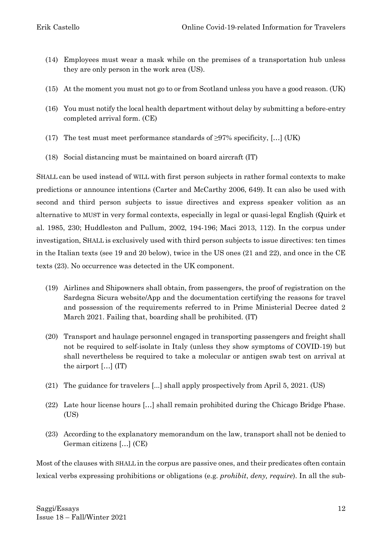- (14) Employees must wear a mask while on the premises of a transportation hub unless they are only person in the work area (US).
- (15) At the moment you must not go to or from Scotland unless you have a good reason. (UK)
- (16) You must notify the local health department without delay by submitting a before-entry completed arrival form. (CE)
- (17) The test must meet performance standards of  $\geq$ 97% specificity, […] (UK)
- (18) Social distancing must be maintained on board aircraft (IT)

SHALL can be used instead of WILL with first person subjects in rather formal contexts to make predictions or announce intentions (Carter and McCarthy 2006, 649). It can also be used with second and third person subjects to issue directives and express speaker volition as an alternative to MUST in very formal contexts, especially in legal or quasi-legal English (Quirk et al. 1985, 230; Huddleston and Pullum, 2002, 194-196; Maci 2013, 112). In the corpus under investigation, SHALL is exclusively used with third person subjects to issue directives: ten times in the Italian texts (see 19 and 20 below), twice in the US ones (21 and 22), and once in the CE texts (23). No occurrence was detected in the UK component.

- (19) Airlines and Shipowners shall obtain, from passengers, the proof of registration on the Sardegna Sicura website/App and the documentation certifying the reasons for travel and possession of the requirements referred to in Prime Ministerial Decree dated 2 March 2021. Failing that, boarding shall be prohibited. (IT)
- (20) Transport and haulage personnel engaged in transporting passengers and freight shall not be required to self-isolate in Italy (unless they show symptoms of COVID-19) but shall nevertheless be required to take a molecular or antigen swab test on arrival at the airport […] (IT)
- (21) The guidance for travelers [...] shall apply prospectively from April 5, 2021. (US)
- (22) Late hour license hours […] shall remain prohibited during the Chicago Bridge Phase. (US)
- (23) According to the explanatory memorandum on the law, transport shall not be denied to German citizens […] (CE)

Most of the clauses with SHALL in the corpus are passive ones, and their predicates often contain lexical verbs expressing prohibitions or obligations (e.g. *prohibit*, *deny, require*). In all the sub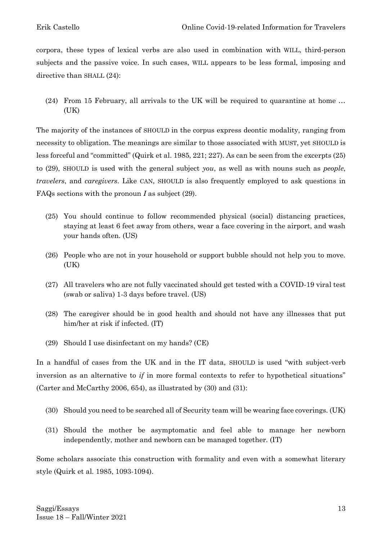corpora, these types of lexical verbs are also used in combination with WILL, third-person subjects and the passive voice. In such cases, WILL appears to be less formal, imposing and directive than SHALL (24):

(24) From 15 February, all arrivals to the UK will be required to quarantine at home … (UK)

The majority of the instances of SHOULD in the corpus express deontic modality, ranging from necessity to obligation. The meanings are similar to those associated with MUST, yet SHOULD is less forceful and "committed" (Quirk et al. 1985, 221; 227). As can be seen from the excerpts (25) to (29), SHOULD is used with the general subject *you*, as well as with nouns such as *people*, *travelers*, and *caregivers*. Like CAN, SHOULD is also frequently employed to ask questions in FAQs sections with the pronoun *I* as subject (29).

- (25) You should continue to follow recommended physical (social) distancing practices, staying at least 6 feet away from others, wear a face covering in the airport, and wash your hands often. (US)
- (26) People who are not in your household or support bubble should not help you to move. (UK)
- (27) All travelers who are not fully vaccinated should get tested with a COVID-19 viral test (swab or saliva) 1-3 days before travel. (US)
- (28) The caregiver should be in good health and should not have any illnesses that put him/her at risk if infected. (IT)
- (29) Should I use disinfectant on my hands? (CE)

In a handful of cases from the UK and in the IT data, SHOULD is used "with subject-verb inversion as an alternative to *if* in more formal contexts to refer to hypothetical situations" (Carter and McCarthy 2006, 654), as illustrated by (30) and (31):

- (30) Should you need to be searched all of Security team will be wearing face coverings. (UK)
- (31) Should the mother be asymptomatic and feel able to manage her newborn independently, mother and newborn can be managed together. (IT)

Some scholars associate this construction with formality and even with a somewhat literary style (Quirk et al. 1985, 1093-1094).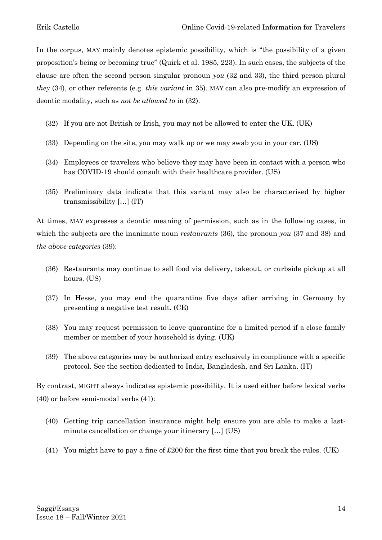In the corpus, MAY mainly denotes epistemic possibility, which is "the possibility of a given proposition's being or becoming true" (Quirk et al. 1985, 223). In such cases, the subjects of the clause are often the second person singular pronoun *you* (32 and 33), the third person plural *they* (34), or other referents (e.g. *this variant* in 35). MAY can also pre-modify an expression of deontic modality, such as *not be allowed to* in (32).

- (32) If you are not British or Irish, you may not be allowed to enter the UK. (UK)
- (33) Depending on the site, you may walk up or we may swab you in your car. (US)
- (34) Employees or travelers who believe they may have been in contact with a person who has COVID-19 should consult with their healthcare provider. (US)
- (35) Preliminary data indicate that this variant may also be characterised by higher transmissibility […] (IT)

At times, MAY expresses a deontic meaning of permission, such as in the following cases, in which the subjects are the inanimate noun *restaurants* (36), the pronoun *you* (37 and 38) and *the above categories* (39):

- (36) Restaurants may continue to sell food via delivery, takeout, or curbside pickup at all hours. (US)
- (37) In Hesse, you may end the quarantine five days after arriving in Germany by presenting a negative test result. (CE)
- (38) You may request permission to leave quarantine for a limited period if a close family member or member of your household is dying. (UK)
- (39) The above categories may be authorized entry exclusively in compliance with a specific protocol. See the section dedicated to India, Bangladesh, and Sri Lanka. (IT)

By contrast, MIGHT always indicates epistemic possibility. It is used either before lexical verbs (40) or before semi-modal verbs (41):

- (40) Getting trip cancellation insurance might help ensure you are able to make a lastminute cancellation or change your itinerary […] (US)
- (41) You might have to pay a fine of £200 for the first time that you break the rules. (UK)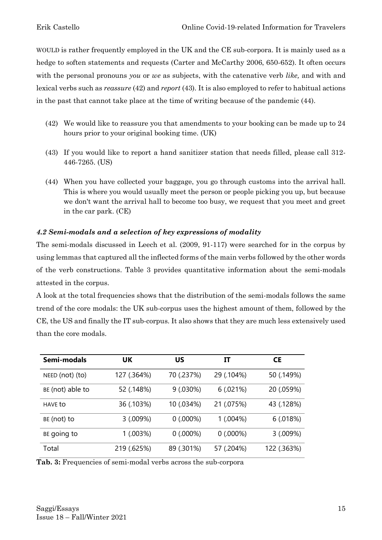WOULD is rather frequently employed in the UK and the CE sub-corpora. It is mainly used as a hedge to soften statements and requests (Carter and McCarthy 2006, 650-652). It often occurs with the personal pronouns *you* or *we* as subjects, with the catenative verb *like,* and with and lexical verbs such as *reassure* (42) and *report* (43)*.* It is also employed to refer to habitual actions in the past that cannot take place at the time of writing because of the pandemic (44).

- (42) We would like to reassure you that amendments to your booking can be made up to 24 hours prior to your original booking time. (UK)
- (43) If you would like to report a hand sanitizer station that needs filled, please call 312- 446-7265. (US)
- (44) When you have collected your baggage, you go through customs into the arrival hall. This is where you would usually meet the person or people picking you up, but because we don't want the arrival hall to become too busy, we request that you meet and greet in the car park. (CE)

# *4.2 Semi-modals and a selection of key expressions of modality*

The semi-modals discussed in Leech et al. (2009, 91-117) were searched for in the corpus by using lemmas that captured all the inflected forms of the main verbs followed by the other words of the verb constructions. Table 3 provides quantitative information about the semi-modals attested in the corpus.

A look at the total frequencies shows that the distribution of the semi-modals follows the same trend of the core modals: the UK sub-corpus uses the highest amount of them, followed by the CE, the US and finally the IT sub-corpus. It also shows that they are much less extensively used than the core modals.

| Semi-modals      | UK          | บร         | П          | <b>CE</b>   |
|------------------|-------------|------------|------------|-------------|
| NEED (not) (to)  | 127 (.364%) | 70 (.237%) | 29 (.104%) | 50 (.149%)  |
| BE (not) able to | 52 (.148%)  | 9(.030%)   | 6(.021%)   | 20 (.059%)  |
| <b>HAVE to</b>   | 36 (.103%)  | 10 (.034%) | 21 (.075%) | 43 (.128%)  |
| BE (not) to      | 3(.009%)    | 0(.000%)   | 1(.004%)   | 6(.018%)    |
| BE going to      | 1(.003%)    | 0(.000%)   | 0(.000%)   | 3(.009%)    |
| Total            | 219 (.625%) | 89 (.301%) | 57 (.204%) | 122 (.363%) |

Tab. 3: Frequencies of semi-modal verbs across the sub-corpora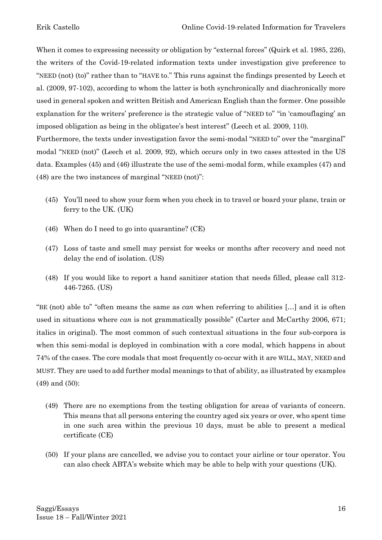When it comes to expressing necessity or obligation by "external forces" (Quirk et al. 1985, 226), the writers of the Covid-19-related information texts under investigation give preference to "NEED (not) (to)" rather than to "HAVE to." This runs against the findings presented by Leech et al. (2009, 97-102), according to whom the latter is both synchronically and diachronically more used in general spoken and written British and American English than the former. One possible explanation for the writers' preference is the strategic value of "NEED to" "in 'camouflaging' an imposed obligation as being in the obligatee's best interest" (Leech et al. 2009, 110).

Furthermore, the texts under investigation favor the semi-modal "NEED to" over the "marginal" modal "NEED (not)" (Leech et al. 2009, 92), which occurs only in two cases attested in the US data. Examples (45) and (46) illustrate the use of the semi-modal form, while examples (47) and (48) are the two instances of marginal "NEED (not)":

- (45) You'll need to show your form when you check in to travel or board your plane, train or ferry to the UK. (UK)
- (46) When do I need to go into quarantine? (CE)
- (47) Loss of taste and smell may persist for weeks or months after recovery and need not delay the end of isolation. (US)
- (48) If you would like to report a hand sanitizer station that needs filled, please call 312- 446-7265. (US)

"BE (not) able to" "often means the same as *can* when referring to abilities […] and it is often used in situations where *can* is not grammatically possible" (Carter and McCarthy 2006, 671; italics in original). The most common of such contextual situations in the four sub-corpora is when this semi-modal is deployed in combination with a core modal, which happens in about 74% of the cases. The core modals that most frequently co-occur with it are WILL, MAY, NEED and MUST. They are used to add further modal meanings to that of ability, as illustrated by examples (49) and (50):

- (49) There are no exemptions from the testing obligation for areas of variants of concern. This means that all persons entering the country aged six years or over, who spent time in one such area within the previous 10 days, must be able to present a medical certificate (CE)
- (50) If your plans are cancelled, we advise you to contact your airline or tour operator. You can also check ABTA's website which may be able to help with your questions (UK).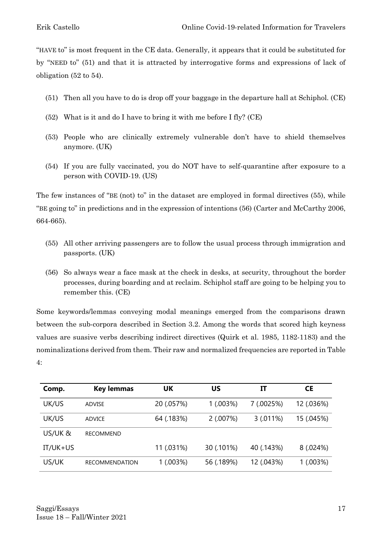"HAVE to" is most frequent in the CE data. Generally, it appears that it could be substituted for by "NEED to" (51) and that it is attracted by interrogative forms and expressions of lack of obligation (52 to 54).

- (51) Then all you have to do is drop off your baggage in the departure hall at Schiphol. (CE)
- (52) What is it and do I have to bring it with me before I fly? (CE)
- (53) People who are clinically extremely vulnerable don't have to shield themselves anymore. (UK)
- (54) If you are fully vaccinated, you do NOT have to self-quarantine after exposure to a person with COVID-19. (US)

The few instances of "BE (not) to" in the dataset are employed in formal directives (55), while "BE going to" in predictions and in the expression of intentions (56) (Carter and McCarthy 2006, 664-665).

- (55) All other arriving passengers are to follow the usual process through immigration and passports. (UK)
- (56) So always wear a face mask at the check in desks, at security, throughout the border processes, during boarding and at reclaim. Schiphol staff are going to be helping you to remember this. (CE)

Some keywords/lemmas conveying modal meanings emerged from the comparisons drawn between the sub-corpora described in Section 3.2. Among the words that scored high keyness values are suasive verbs describing indirect directives (Quirk et al. 1985, 1182-1183) and the nominalizations derived from them. Their raw and normalized frequencies are reported in Table 4:

| Comp.      | <b>Key lemmas</b>     | <b>UK</b>  | บร         | IT         | <b>CE</b>  |
|------------|-----------------------|------------|------------|------------|------------|
| UK/US      | ADVISE                | 20 (.057%) | 1(.003%)   | 7 (.0025%) | 12 (.036%) |
| UK/US      | ADVICE                | 64 (.183%) | 2(.007%)   | 3(.011%)   | 15 (.045%) |
| US/UK&     | <b>RECOMMEND</b>      |            |            |            |            |
| $IT/UK+US$ |                       | 11 (.031%) | 30 (.101%) | 40 (.143%) | 8(.024%)   |
| US/UK      | <b>RECOMMENDATION</b> | 1(.003%)   | 56 (.189%) | 12 (.043%) | 1(.003%)   |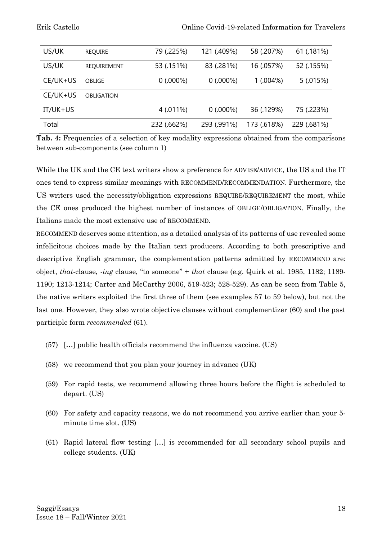| US/UK      | <b>REQUIRE</b> | 79 (.225%)  | 121 (.409%) | 58 (.207%)  | 61 (.181%)  |
|------------|----------------|-------------|-------------|-------------|-------------|
| US/UK      | REQUIREMENT    | 53 (.151%)  | 83 (.281%)  | 16 (.057%)  | 52 (.155%)  |
| CE/UK+US   | <b>OBLIGE</b>  | 0(.000%)    | 0(.000%)    | 1(.004%)    | 5(.015%)    |
| CE/UK+US   | OBLIGATION     |             |             |             |             |
| $IT/UK+US$ |                | 4 (.011%)   | 0(.000%)    | 36 (.129%)  | 75 (.223%)  |
| Total      |                | 232 (.662%) | 293 (.991%) | 173 (.618%) | 229 (.681%) |

**Tab. 4:** Frequencies of a selection of key modality expressions obtained from the comparisons between sub-components (see column 1)

While the UK and the CE text writers show a preference for ADVISE/ADVICE, the US and the IT ones tend to express similar meanings with RECOMMEND/RECOMMENDATION. Furthermore, the US writers used the necessity/obligation expressions REQUIRE/REQUIREMENT the most, while the CE ones produced the highest number of instances of OBLIGE/OBLIGATION. Finally, the Italians made the most extensive use of RECOMMEND.

RECOMMEND deserves some attention, as a detailed analysis of its patterns of use revealed some infelicitous choices made by the Italian text producers. According to both prescriptive and descriptive English grammar, the complementation patterns admitted by RECOMMEND are: object, *that*-clause, *-ing* clause, "to someone" + *that* clause (e.g. Quirk et al. 1985, 1182; 1189- 1190; 1213-1214; Carter and McCarthy 2006, 519-523; 528-529). As can be seen from Table 5, the native writers exploited the first three of them (see examples 57 to 59 below), but not the last one. However, they also wrote objective clauses without complementizer (60) and the past participle form *recommended* (61).

- (57) […] public health officials recommend the influenza vaccine. (US)
- (58) we recommend that you plan your journey in advance (UK)
- (59) For rapid tests, we recommend allowing three hours before the flight is scheduled to depart. (US)
- (60) For safety and capacity reasons, we do not recommend you arrive earlier than your 5 minute time slot. (US)
- (61) Rapid lateral flow testing […] is recommended for all secondary school pupils and college students. (UK)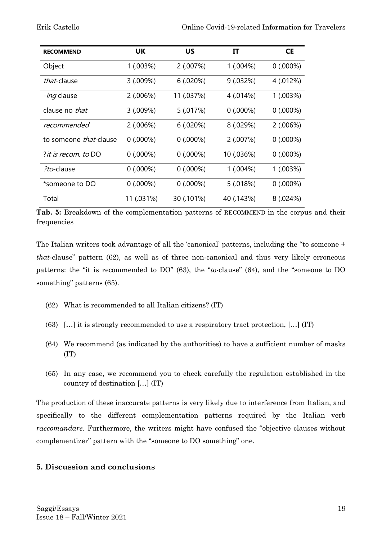| <b>RECOMMEND</b>           | UK         | <b>US</b>  | IT         | <b>CE</b> |
|----------------------------|------------|------------|------------|-----------|
| Object                     | 1(.003%)   | 2(.007%)   | 1(.004%)   | 0(.000%)  |
| that-clause                | 3(.009%)   | 6(.020%)   | 9(.032%)   | 4 (.012%) |
| <i>-ing</i> clause         | 2(.006%)   | 11 (.037%) | 4 (.014%)  | 1(.003%)  |
| clause no that             | 3(.009%)   | 5 (.017%)  | 0(.000%)   | 0(.000%)  |
| recommended                | 2(.006%)   | 6(.020%)   | 8(.029%)   | 2(.006%)  |
| to someone that-clause     | 0(.000%)   | 0(.000%)   | 2(.007%)   | 0(.000%)  |
| <i>it is recom. to</i> DO? | 0(.000%)   | 0(.000%)   | 10 (.036%) | 0(.000%)  |
| ?to-clause                 | 0(.000%)   | 0(.000%)   | 1(.004%)   | 1(.003%)  |
| *someone to DO             | 0(.000%)   | 0(.000%)   | 5(.018%)   | 0(.000%)  |
| Total                      | 11 (.031%) | 30 (.101%) | 40 (.143%) | 8 (.024%) |

**Tab. 5:** Breakdown of the complementation patterns of RECOMMEND in the corpus and their frequencies

The Italian writers took advantage of all the 'canonical' patterns, including the "to someone + *that*-clause" pattern (62), as well as of three non-canonical and thus very likely erroneous patterns: the "it is recommended to DO" (63), the "*to*-clause" (64), and the "someone to DO something" patterns (65).

- (62) What is recommended to all Italian citizens? (IT)
- (63) […] it is strongly recommended to use a respiratory tract protection, […] (IT)
- (64) We recommend (as indicated by the authorities) to have a sufficient number of masks (IT)
- (65) In any case, we recommend you to check carefully the regulation established in the country of destination […] (IT)

The production of these inaccurate patterns is very likely due to interference from Italian, and specifically to the different complementation patterns required by the Italian verb *raccomandare.* Furthermore, the writers might have confused the "objective clauses without complementizer" pattern with the "someone to DO something" one.

# **5. Discussion and conclusions**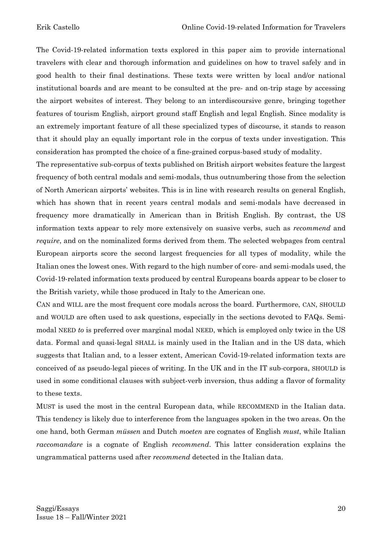The Covid-19-related information texts explored in this paper aim to provide international travelers with clear and thorough information and guidelines on how to travel safely and in good health to their final destinations. These texts were written by local and/or national institutional boards and are meant to be consulted at the pre- and on-trip stage by accessing the airport websites of interest. They belong to an interdiscoursive genre, bringing together features of tourism English, airport ground staff English and legal English. Since modality is an extremely important feature of all these specialized types of discourse, it stands to reason that it should play an equally important role in the corpus of texts under investigation. This consideration has prompted the choice of a fine-grained corpus-based study of modality.

The representative sub-corpus of texts published on British airport websites feature the largest frequency of both central modals and semi-modals, thus outnumbering those from the selection of North American airports' websites. This is in line with research results on general English, which has shown that in recent years central modals and semi-modals have decreased in frequency more dramatically in American than in British English. By contrast, the US information texts appear to rely more extensively on suasive verbs, such as *recommend* and *require*, and on the nominalized forms derived from them. The selected webpages from central European airports score the second largest frequencies for all types of modality, while the Italian ones the lowest ones. With regard to the high number of core- and semi-modals used, the Covid-19-related information texts produced by central Europeans boards appear to be closer to the British variety, while those produced in Italy to the American one.

CAN and WILL are the most frequent core modals across the board. Furthermore, CAN, SHOULD and WOULD are often used to ask questions, especially in the sections devoted to FAQs. Semimodal NEED *to* is preferred over marginal modal NEED, which is employed only twice in the US data. Formal and quasi-legal SHALL is mainly used in the Italian and in the US data, which suggests that Italian and, to a lesser extent, American Covid-19-related information texts are conceived of as pseudo-legal pieces of writing. In the UK and in the IT sub-corpora, SHOULD is used in some conditional clauses with subject-verb inversion, thus adding a flavor of formality to these texts.

MUST is used the most in the central European data, while RECOMMEND in the Italian data. This tendency is likely due to interference from the languages spoken in the two areas. On the one hand, both German *müssen* and Dutch *moeten* are cognates of English *must*, while Italian *raccomandare* is a cognate of English *recommend*. This latter consideration explains the ungrammatical patterns used after *recommend* detected in the Italian data.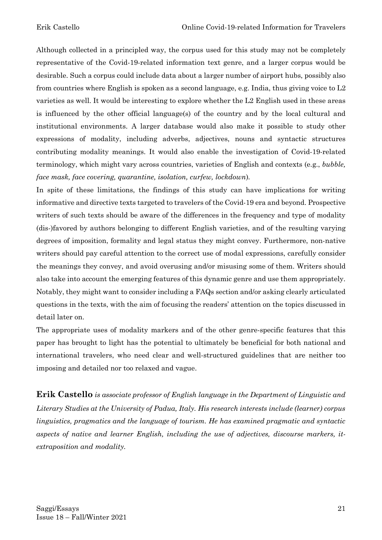Although collected in a principled way, the corpus used for this study may not be completely representative of the Covid-19-related information text genre, and a larger corpus would be desirable. Such a corpus could include data about a larger number of airport hubs, possibly also from countries where English is spoken as a second language, e.g. India, thus giving voice to L2 varieties as well. It would be interesting to explore whether the L2 English used in these areas is influenced by the other official language(s) of the country and by the local cultural and institutional environments. A larger database would also make it possible to study other expressions of modality, including adverbs, adjectives, nouns and syntactic structures contributing modality meanings. It would also enable the investigation of Covid-19-related terminology, which might vary across countries, varieties of English and contexts (e.g., *bubble, face mask, face covering, quarantine, isolation, curfew, lockdown*)*.*

In spite of these limitations, the findings of this study can have implications for writing informative and directive texts targeted to travelers of the Covid-19 era and beyond. Prospective writers of such texts should be aware of the differences in the frequency and type of modality (dis-)favored by authors belonging to different English varieties, and of the resulting varying degrees of imposition, formality and legal status they might convey. Furthermore, non-native writers should pay careful attention to the correct use of modal expressions, carefully consider the meanings they convey, and avoid overusing and/or misusing some of them. Writers should also take into account the emerging features of this dynamic genre and use them appropriately. Notably, they might want to consider including a FAQs section and/or asking clearly articulated questions in the texts, with the aim of focusing the readers' attention on the topics discussed in detail later on.

The appropriate uses of modality markers and of the other genre-specific features that this paper has brought to light has the potential to ultimately be beneficial for both national and international travelers, who need clear and well-structured guidelines that are neither too imposing and detailed nor too relaxed and vague.

**Erik Castello** *is associate professor of English language in the Department of Linguistic and Literary Studies at the University of Padua, Italy. His research interests include (learner) corpus linguistics, pragmatics and the language of tourism. He has examined pragmatic and syntactic aspects of native and learner English, including the use of adjectives, discourse markers, itextraposition and modality.*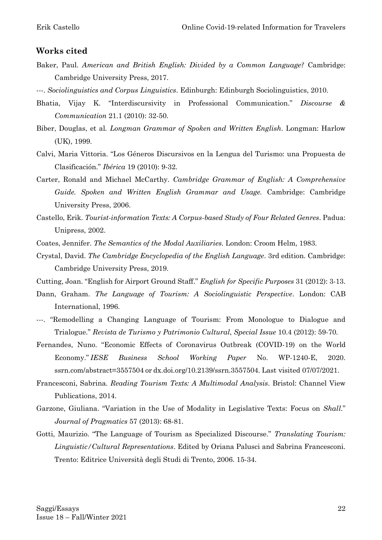#### **Works cited**

- Baker, Paul. *American and British English: Divided by a Common Language?* Cambridge: Cambridge University Press, 2017.
- ---. *Sociolinguistics and Corpus Linguistics*. Edinburgh: Edinburgh Sociolinguistics, 2010.
- Bhatia, Vijay K. "Interdiscursivity in Professional Communication." *Discourse & Communication* 21.1 (2010): 32-50.
- Biber, Douglas, et al*. Longman Grammar of Spoken and Written English*. Longman: Harlow (UK), 1999.
- Calvi, Maria Vittoria. "Los Géneros Discursivos en la Lengua del Turismo: una Propuesta de Clasificación." *Ibérica* 19 (2010): 9-32.
- Carter, Ronald and Michael McCarthy. *Cambridge Grammar of English: A Comprehensive Guide. Spoken and Written English Grammar and Usage.* Cambridge: Cambridge University Press, 2006.
- Castello, Erik. *Tourist-information Texts: A Corpus-based Study of Four Related Genres*. Padua: Unipress, 2002.
- Coates, Jennifer. *The Semantics of the Modal Auxiliaries*. London: Croom Helm, 1983.
- Crystal, David. *The Cambridge Encyclopedia of the English Language*. 3rd edition. Cambridge: Cambridge University Press, 2019.
- Cutting, Joan. "English for Airport Ground Staff." *English for Specific Purposes* 31 (2012): 3-13.
- Dann, Graham. *The Language of Tourism: A Sociolinguistic Perspective*. London: CAB International, 1996.
- ---. "Remodelling a Changing Language of Tourism: From Monologue to Dialogue and Trialogue." *Revista de Turismo y Patrimonio Cultural*, *Special Issue* 10.4 (2012): 59-70.
- Fernandes, Nuno. "Economic Effects of Coronavirus Outbreak (COVID-19) on the World Economy." *IESE Business School Working Paper* No. WP-1240-E, 2020. ssrn.com/abstract=3557504 or dx.doi.org/10.2139/ssrn.3557504. Last visited 07/07/2021.
- Francesconi, Sabrina. *Reading Tourism Texts: A Multimodal Analysis*. Bristol: Channel View Publications, 2014.
- Garzone, Giuliana. "Variation in the Use of Modality in Legislative Texts: Focus on *Shall*." *Journal of Pragmatics* 57 (2013): 68-81.
- Gotti, Maurizio. "The Language of Tourism as Specialized Discourse." *Translating Tourism: Linguistic/Cultural Representations*. Edited by Oriana Palusci and Sabrina Francesconi. Trento: Editrice Università degli Studi di Trento, 2006. 15-34.